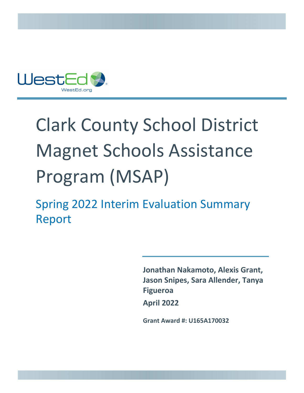

# Clark County School District Magnet Schools Assistance Program (MSAP)

Spring 2022 Interim Evaluation Summary Report

> **Jonathan Nakamoto, Alexis Grant, Jason Snipes, Sara Allender, Tanya Figueroa April 2022**

**Grant Award #: U165A170032**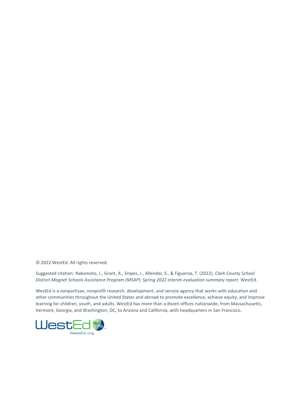© 2022 WestEd. All rights reserved.

Suggested citation: Nakamoto, J., Grant, A., Snipes, J., Allender, S., & Figueroa, T. (2022). *Clark County School District Magnet Schools Assistance Program (MSAP): Spring 2022 interim evaluation summary report*. WestEd.

WestEd is a nonpartisan, nonprofit research, development, and service agency that works with education and other communities throughout the United States and abroad to promote excellence, achieve equity, and improve learning for children, youth, and adults. WestEd has more than a dozen offices nationwide, from Massachusetts, Vermont, Georgia, and Washington, DC, to Arizona and California, with headquarters in San Francisco.

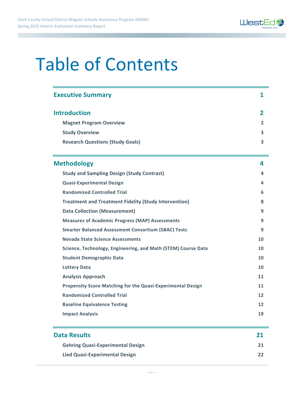

## Table of Contents

| <b>Executive Summary</b>                                           | 1  |
|--------------------------------------------------------------------|----|
| <b>Introduction</b>                                                | 2  |
| <b>Magnet Program Overview</b>                                     | 2  |
| <b>Study Overview</b>                                              | 3  |
| <b>Research Questions (Study Goals)</b>                            | 3  |
| <b>Methodology</b>                                                 | 4  |
| <b>Study and Sampling Design (Study Contrast)</b>                  | 4  |
| <b>Quasi-Experimental Design</b>                                   | 4  |
| <b>Randomized Controlled Trial</b>                                 | 6  |
| <b>Treatment and Treatment Fidelity (Study Intervention)</b>       | 8  |
| <b>Data Collection (Measurement)</b>                               | 9  |
| <b>Measures of Academic Progress (MAP) Assessments</b>             | 9  |
| <b>Smarter Balanced Assessment Consortium (SBAC) Tests</b>         | 9  |
| Nevada State Science Assessments                                   | 10 |
| Science, Technology, Engineering, and Math (STEM) Course Data      | 10 |
| <b>Student Demographic Data</b>                                    | 10 |
| <b>Lottery Data</b>                                                | 10 |
| <b>Analysis Approach</b>                                           | 11 |
| <b>Propensity Score Matching for the Quasi-Experimental Design</b> | 11 |
| <b>Randomized Controlled Trial</b>                                 | 12 |
| <b>Baseline Equivalence Testing</b>                                | 12 |
| <b>Impact Analysis</b>                                             | 19 |

| <b>Data Results</b>                      | 21 |
|------------------------------------------|----|
| <b>Gehring Quasi-Experimental Design</b> | 21 |
| <b>Lied Quasi-Experimental Design</b>    | 22 |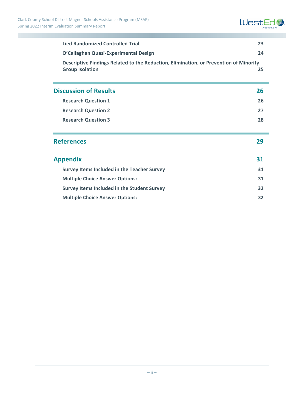

| <b>Lied Randomized Controlled Trial</b>                                                                         |    |
|-----------------------------------------------------------------------------------------------------------------|----|
| O'Callaghan Quasi-Experimental Design                                                                           |    |
| Descriptive Findings Related to the Reduction, Elimination, or Prevention of Minority<br><b>Group Isolation</b> |    |
| <b>Discussion of Results</b>                                                                                    | 26 |
| <b>Research Question 1</b>                                                                                      |    |
| <b>Research Question 2</b>                                                                                      |    |
| <b>Research Question 3</b>                                                                                      |    |
| <b>References</b>                                                                                               | 29 |
| <b>Appendix</b>                                                                                                 |    |
| <b>Survey Items Included in the Teacher Survey</b>                                                              |    |
| <b>Multiple Choice Answer Options:</b>                                                                          |    |
| Survey Items Included in the Student Survey                                                                     |    |

| <b>Multiple Choice Answer Options:</b> |  |
|----------------------------------------|--|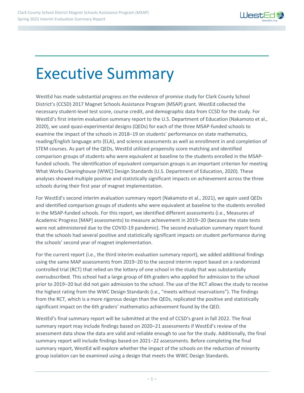

## Executive Summary

WestEd has made substantial progress on the evidence of promise study for Clark County School District's (CCSD) 2017 Magnet Schools Assistance Program (MSAP) grant. WestEd collected the necessary student-level test score, course credit, and demographic data from CCSD for the study. For WestEd's first interim evaluation summary report to the U.S. Department of Education (Nakamoto et al., 2020), we used quasi-experimental designs (QEDs) for each of the three MSAP-funded schools to examine the impact of the schools in 2018–19 on students' performance on state mathematics, reading/English language arts (ELA), and science assessments as well as enrollment in and completion of STEM courses. As part of the QEDs, WestEd utilized propensity score matching and identified comparison groups of students who were equivalent at baseline to the students enrolled in the MSAPfunded schools. The identification of equivalent comparison groups is an important criterion for meeting What Works Clearinghouse (WWC) Design Standards (U.S. Department of Education, 2020). These analyses showed multiple positive and statistically significant impacts on achievement across the three schools during their first year of magnet implementation.

For WestEd's second interim evaluation summary report (Nakamoto et al., 2021), we again used QEDs and identified comparison groups of students who were equivalent at baseline to the students enrolled in the MSAP-funded schools. For this report, we identified different assessments (i.e., Measures of Academic Progress [MAP] assessments) to measure achievement in 2019-20 (because the state tests were not administered due to the COVID-19 pandemic). The second evaluation summary report found that the schools had several positive and statistically significant impacts on student performance during the schools' second year of magnet implementation.

For the current report (i.e., the third interim evaluation summary report), we added additional findings using the same MAP assessments from 2019-20 to the second interim report based on a randomized controlled trial (RCT) that relied on the lottery of one school in the study that was substantially oversubscribed. This school had a large group of 6th graders who applied for admission to the school prior to 2019‒20 but did not gain admission to the school. The use of the RCT allows the study to receive the highest rating from the WWC Design Standards (i.e., "meets without reservations"). The findings from the RCT, which is a more rigorous design than the QEDs, replicated the positive and statistically significant impact on the 6th graders' mathematics achievement found by the QED.

WestEd's final summary report will be submitted at the end of CCSD's grant in fall 2022. The final summary report may include findings based on 2020–21 assessments if WestEd's review of the assessment data show the data are valid and reliable enough to use for the study. Additionally, the final summary report will include findings based on 2021-22 assessments. Before completing the final summary report, WestEd will explore whether the impact of the schools on the reduction of minority group isolation can be examined using a design that meets the WWC Design Standards.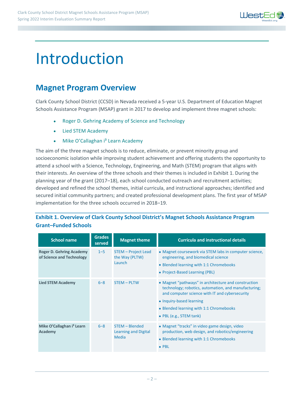

## Introduction

### **Magnet Program Overview**

Clark County School District (CCSD) in Nevada received a 5-year U.S. Department of Education Magnet Schools Assistance Program (MSAP) grant in 2017 to develop and implement three magnet schools:

- Roger D. Gehring Academy of Science and Technology
- Lied STEM Academy
- Mike O'Callaghan i<sup>3</sup> Learn Academy

The aim of the three magnet schools is to reduce, eliminate, or prevent minority group and socioeconomic isolation while improving student achievement and offering students the opportunity to attend a school with a Science, Technology, Engineering, and Math (STEM) program that aligns with their interests. An overview of the three schools and their themes is included in Exhibit 1. During the planning year of the grant (2017–18), each school conducted outreach and recruitment activities; developed and refined the school themes, initial curricula, and instructional approaches; identified and secured initial community partners; and created professional development plans. The first year of MSAP implementation for the three schools occurred in 2018-19.

#### **Exhibit 1. Overview of Clark County School District's Magnet Schools Assistance Program Grant–Funded Schools**

| <b>School name</b>                                           | <b>Grades</b><br>served | <b>Magnet theme</b>                             | <b>Curricula and instructional details</b>                                                                                                                                                                                                                       |
|--------------------------------------------------------------|-------------------------|-------------------------------------------------|------------------------------------------------------------------------------------------------------------------------------------------------------------------------------------------------------------------------------------------------------------------|
| <b>Roger D. Gehring Academy</b><br>of Science and Technology | $1 - 5$                 | STEM – Project Lead<br>the Way (PLTW)<br>Launch | • Magnet coursework via STEM labs in computer science,<br>engineering, and biomedical science<br>• Blended learning with 1:1 Chromebooks<br>• Project-Based Learning (PBL)                                                                                       |
| <b>Lied STEM Academy</b>                                     | $6 - 8$                 | <b>STEM - PLTW</b>                              | • Magnet "pathways" in architecture and construction<br>technology; robotics, automation, and manufacturing;<br>and computer science with IT and cybersecurity<br>• Inquiry-based learning<br>• Blended learning with 1:1 Chromebooks<br>• PBL (e.g., STEM tank) |
| Mike O'Callaghan i <sup>3</sup> Learn<br>Academy             | $6 - 8$                 | STEM - Blended<br>Learning and Digital<br>Media | • Magnet "tracks" in video game design, video<br>production, web design, and robotics/engineering<br>• Blended learning with 1:1 Chromebooks<br>$\bullet$ PBL                                                                                                    |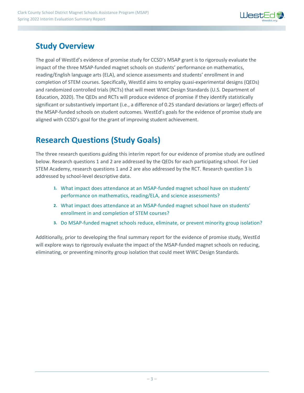

## **Study Overview**

The goal of WestEd's evidence of promise study for CCSD's MSAP grant is to rigorously evaluate the impact of the three MSAP-funded magnet schools on students' performance on mathematics, reading/English language arts (ELA), and science assessments and students' enrollment in and completion of STEM courses. Specifically, WestEd aims to employ quasi-experimental designs (QEDs) and randomized controlled trials (RCTs) that will meet WWC Design Standards (U.S. Department of Education, 2020). The QEDs and RCTs will produce evidence of promise if they identify statistically significant or substantively important (i.e., a difference of 0.25 standard deviations or larger) effects of the MSAP-funded schools on student outcomes. WestEd's goals for the evidence of promise study are aligned with CCSD's goal for the grant of improving student achievement.

## **Research Questions (Study Goals)**

The three research questions guiding this interim report for our evidence of promise study are outlined below. Research questions 1 and 2 are addressed by the QEDs for each participating school. For Lied STEM Academy, research questions 1 and 2 are also addressed by the RCT. Research question 3 is addressed by school-level descriptive data.

- **1.** What impact does attendance at an MSAP-funded magnet school have on students' performance on mathematics, reading/ELA, and science assessments?
- **2.** What impact does attendance at an MSAP-funded magnet school have on students' enrollment in and completion of STEM courses?
- **3.** Do MSAP-funded magnet schools reduce, eliminate, or prevent minority group isolation?

Additionally, prior to developing the final summary report for the evidence of promise study, WestEd will explore ways to rigorously evaluate the impact of the MSAP-funded magnet schools on reducing, eliminating, or preventing minority group isolation that could meet WWC Design Standards.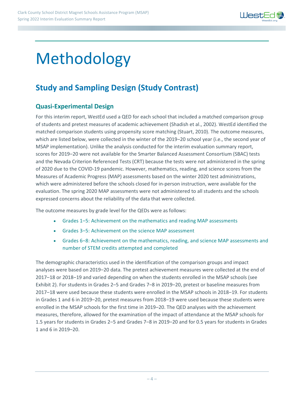

## Methodology

## **Study and Sampling Design (Study Contrast)**

#### **Quasi-Experimental Design**

For this interim report, WestEd used a QED for each school that included a matched comparison group of students and pretest measures of academic achievement (Shadish et al., 2002). WestEd identified the matched comparison students using propensity score matching (Stuart, 2010). The outcome measures, which are listed below, were collected in the winter of the 2019-20 school year (i.e., the second year of MSAP implementation). Unlike the analysis conducted for the interim evaluation summary report, scores for 2019–20 were not available for the Smarter Balanced Assessment Consortium (SBAC) tests and the Nevada Criterion Referenced Tests (CRT) because the tests were not administered in the spring of 2020 due to the COVID-19 pandemic. However, mathematics, reading, and science scores from the Measures of Academic Progress (MAP) assessments based on the winter 2020 test administrations, which were administered before the schools closed for in-person instruction, were available for the evaluation. The spring 2020 MAP assessments were not administered to all students and the schools expressed concerns about the reliability of the data that were collected.

The outcome measures by grade level for the QEDs were as follows:

- Grades 1-5: Achievement on the mathematics and reading MAP assessments
- Grades 3–5: Achievement on the science MAP assessment
- Grades 6–8: Achievement on the mathematics, reading, and science MAP assessments and number of STEM credits attempted and completed

The demographic characteristics used in the identification of the comparison groups and impact analyses were based on 2019-20 data. The pretest achievement measures were collected at the end of 2017–18 or 2018–19 and varied depending on when the students enrolled in the MSAP schools (see Exhibit 2). For students in Grades 2–5 and Grades 7–8 in 2019–20, pretest or baseline measures from 2017–18 were used because these students were enrolled in the MSAP schools in 2018–19. For students in Grades 1 and 6 in 2019–20, pretest measures from 2018–19 were used because these students were enrolled in the MSAP schools for the first time in 2019–20. The QED analyses with the achievement measures, therefore, allowed for the examination of the impact of attendance at the MSAP schools for 1.5 years for students in Grades 2‒5 and Grades 7‒8 in 2019‒20 and for 0.5 years for students in Grades 1 and 6 in 2019‒20.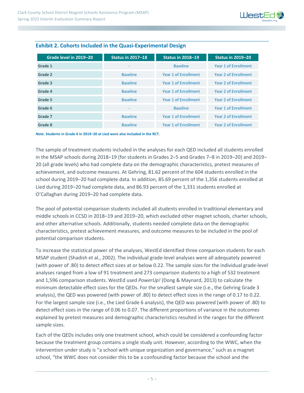

| Grade level in 2019-20 | <b>Status in 2017-18</b> | <b>Status in 2018-19</b> | <b>Status in 2019-20</b>    |
|------------------------|--------------------------|--------------------------|-----------------------------|
| Grade 1                | ۰                        | <b>Baseline</b>          | Year 1 of Enrollment        |
| Grade 2                | <b>Baseline</b>          | Year 1 of Enrollment     | Year 2 of Enrollment        |
| Grade 3                | <b>Baseline</b>          | Year 1 of Enrollment     | Year 2 of Enrollment        |
| Grade 4                | <b>Baseline</b>          | Year 1 of Enrollment     | Year 2 of Enrollment        |
| Grade 5                | <b>Baseline</b>          | Year 1 of Enrollment     | <b>Year 2 of Enrollment</b> |
| Grade 6                | ۰                        | <b>Baseline</b>          | Year 1 of Enrollment        |
| Grade 7                | <b>Baseline</b>          | Year 1 of Enrollment     | Year 2 of Enrollment        |
| Grade 8                | <b>Baseline</b>          | Year 1 of Enrollment     | Year 2 of Enrollment        |

#### **Exhibit 2. Cohorts Included in the Quasi-Experimental Design**

*Note***. Students in Grade 6 in 2019‒20 at Lied were also included in the RCT.** 

The sample of treatment students included in the analyses for each QED included all students enrolled in the MSAP schools during 2018–19 (for students in Grades 2–5 and Grades 7–8 in 2019–20) and 2019– 20 (all grade levels) who had complete data on the demographic characteristics, pretest measures of achievement, and outcome measures. At Gehring, 81.62 percent of the 604 students enrolled in the school during 2019-20 had complete data. In addition, 85.69 percent of the 1,356 students enrolled at Lied during 2019–20 had complete data, and 86.93 percent of the 1,331 students enrolled at O'Callaghan during 2019-20 had complete data.

The pool of potential comparison students included all students enrolled in traditional elementary and middle schools in CCSD in 2018–19 and 2019–20, which excluded other magnet schools, charter schools, and other alternative schools. Additionally, students needed complete data on the demographic characteristics, pretest achievement measures, and outcome measures to be included in the pool of potential comparison students.

To increase the statistical power of the analyses, WestEd identified three comparison students for each MSAP student (Shadish et al., 2002). The individual grade-level analyses were all adequately powered (with power of .80) to detect effect sizes at or below 0.22. The sample sizes for the individual grade-level analyses ranged from a low of 91 treatment and 273 comparison students to a high of 532 treatment and 1,596 comparison students. WestEd used *PowerUp!* (Dong & Maynard, 2013) to calculate the minimum detectable effect sizes for the QEDs. For the smallest sample size (i.e., the Gehring Grade 3 analysis), the QED was powered (with power of .80) to detect effect sizes in the range of 0.17 to 0.22. For the largest sample size (i.e., the Lied Grade 6 analysis), the QED was powered (with power of .80) to detect effect sizes in the range of 0.06 to 0.07. The different proportions of variance in the outcomes explained by pretest measures and demographic characteristics resulted in the ranges for the different sample sizes.

Each of the QEDs includes only one treatment school, which could be considered a confounding factor because the treatment group contains a single study unit. However, according to the WWC, when the intervention under study is "a school with unique organization and governance," such as a magnet school, "the WWC does not consider this to be a confounding factor because the school and the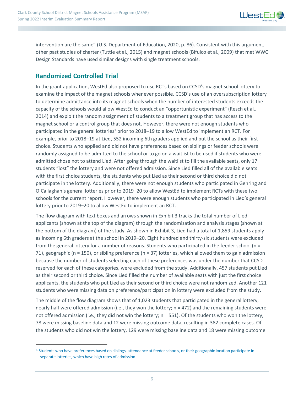

intervention are the same" (U.S. Department of Education, 2020, p. 86). Consistent with this argument, other past studies of charter (Tuttle et al., 2015) and magnet schools (Bifulco et al., 2009) that met WWC Design Standards have used similar designs with single treatment schools.

#### **Randomized Controlled Trial**

<span id="page-9-1"></span>In the grant application, WestEd also proposed to use RCTs based on CCSD's magnet school lottery to examine the impact of the magnet schools whenever possible. CCSD's use of an oversubscription lottery to determine admittance into its magnet schools when the number of interested students exceeds the capacity of the schools would allow WestEd to conduct an "opportunistic experiment" (Resch et al., 2014) and exploit the random assignment of students to a treatment group that has access to the magnet school or a control group that does not. However, there were not enough students who participated in the general lotteries<sup>[1](#page-9-0)</sup> prior to 2018–19 to allow WestEd to implement an RCT. For example, prior to 2018–19 at Lied, 552 incoming 6th graders applied and put the school as their first choice. Students who applied and did not have preferences based on siblings or feeder schools were randomly assigned to be admitted to the school or to go on a waitlist to be used if students who were admitted chose not to attend Lied. After going through the waitlist to fill the available seats, only 17 students "lost" the lottery and were not offered admission. Since Lied filled all of the available seats with the first choice students, the students who put Lied as their second or third choice did not participate in the lottery. Additionally, there were not enough students who participated in Gehring and O'Callaghan's general lotteries prior to 2019-20 to allow WestEd to implement RCTs with these two schools for the current report. However, there were enough students who participated in Lied's general lottery prior to 2019–20 to allow WestEd to implement an RCT.

The flow diagram with text boxes and arrows shown in Exhibit 3 tracks the total number of Lied applicants (shown at the top of the diagram) through the randomization and analysis stages (shown at the bottom of the diagram) of the study. As shown in Exhibit 3, Lied had a total of 1,859 students apply as incoming 6th graders at the school in 2019–20. Eight hundred and thirty-six students were excluded from the general lottery for a number of reasons. Students who participated in the feeder school (n = 71), geographic (n = 150), or sibling preference (n = 37) lotteries, which allowed them to gain admission because the number of students selecting each of these preferences was under the number that CCSD reserved for each of these categories, were excluded from the study. Additionally, 457 students put Lied as their second or third choice. Since Lied filled the number of available seats with just the first choice applicants, the students who put Lied as their second or third choice were not randomized. Another 121 students who were missing data on preference/participation in lottery were excluded from the study.

The middle of the flow diagram shows that of 1,023 students that participated in the general lottery, nearly half were offered admission (i.e., they won the lottery; n = 472) and the remaining students were not offered admission (i.e., they did not win the lottery; n = 551). Of the students who won the lottery, 78 were missing baseline data and 12 were missing outcome data, resulting in 382 complete cases. Of the students who did not win the lottery, 129 were missing baseline data and 18 were missing outcome

<span id="page-9-0"></span><sup>&</sup>lt;sup>[1](#page-9-1)</sup> Students who have preferences based on siblings, attendance at feeder schools, or their geographic location participate in separate lotteries, which have high rates of admission.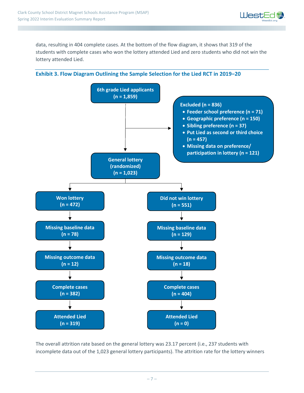

data, resulting in 404 complete cases. At the bottom of the flow diagram, it shows that 319 of the students with complete cases who won the lottery attended Lied and zero students who did not win the lottery attended Lied.





The overall attrition rate based on the general lottery was 23.17 percent (i.e., 237 students with incomplete data out of the 1,023 general lottery participants). The attrition rate for the lottery winners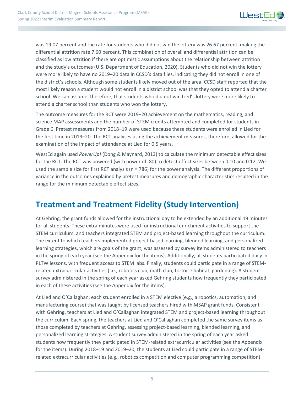

was 19.07 percent and the rate for students who did not win the lottery was 26.67 percent, making the differential attrition rate 7.60 percent. This combination of overall and differential attrition can be classified as low attrition if there are optimistic assumptions about the relationship between attrition and the study's outcomes (U.S. Department of Education, 2020). Students who did not win the lottery were more likely to have no 2019–20 data in CCSD's data files, indicating they did not enroll in one of the district's schools. Although some students likely moved out of the area, CCSD staff reported that the most likely reason a student would not enroll in a district school was that they opted to attend a charter school. We can assume, therefore, that students who did not win Lied's lottery were more likely to attend a charter school than students who won the lottery.

The outcome measures for the RCT were 2019–20 achievement on the mathematics, reading, and science MAP assessments and the number of STEM credits attempted and completed for students in Grade 6. Pretest measures from 2018–19 were used because these students were enrolled in Lied for the first time in 2019–20. The RCT analyses using the achievement measures, therefore, allowed for the examination of the impact of attendance at Lied for 0.5 years.

WestEd again used *PowerUp!* (Dong & Maynard, 2013) to calculate the minimum detectable effect sizes for the RCT. The RCT was powered (with power of .80) to detect effect sizes between 0.10 and 0.12. We used the sample size for first RCT analysis (n = 786) for the power analysis. The different proportions of variance in the outcomes explained by pretest measures and demographic characteristics resulted in the range for the minimum detectable effect sizes.

## **Treatment and Treatment Fidelity (Study Intervention)**

At Gehring, the grant funds allowed for the instructional day to be extended by an additional 19 minutes for all students. These extra minutes were used for instructional enrichment activities to support the STEM curriculum, and teachers integrated STEM and project-based learning throughout the curriculum. The extent to which teachers implemented project-based learning, blended learning, and personalized learning strategies, which are goals of the grant, was assessed by survey items administered to teachers in the spring of each year (see the Appendix for the items). Additionally, all students participated daily in PLTW lessons, with frequent access to STEM labs. Finally, students could participate in a range of STEMrelated extracurricular activities (i.e., robotics club, math club, tortoise habitat, gardening). A student survey administered in the spring of each year asked Gehring students how frequently they participated in each of these activities (see the Appendix for the items).

At Lied and O'Callaghan, each student enrolled in a STEM elective (e.g., a robotics, automation, and manufacturing course) that was taught by licensed teachers hired with MSAP grant funds. Consistent with Gehring, teachers at Lied and O'Callaghan integrated STEM and project-based learning throughout the curriculum. Each spring, the teachers at Lied and O'Callaghan completed the same survey items as those completed by teachers at Gehring, assessing project-based learning, blended learning, and personalized learning strategies. A student survey administered in the spring of each year asked students how frequently they participated in STEM-related extracurricular activities (see the Appendix for the items). During 2018–19 and 2019–20, the students at Lied could participate in a range of STEMrelated extracurricular activities (e.g., robotics competition and computer programming competition).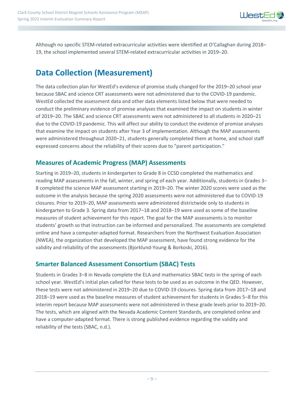

Although no specific STEM-related extracurricular activities were identified at O'Callaghan during 2018– 19, the school implemented several STEM-related extracurricular activities in 2019-20.

## **Data Collection (Measurement)**

The data collection plan for WestEd's evidence of promise study changed for the 2019–20 school year because SBAC and science CRT assessments were not administered due to the COVID-19 pandemic. WestEd collected the assessment data and other data elements listed below that were needed to conduct the preliminary evidence of promise analyses that examined the impact on students in winter of 2019–20. The SBAC and science CRT assessments were not administered to all students in 2020–21 due to the COVID-19 pandemic. This will affect our ability to conduct the evidence of promise analyses that examine the impact on students after Year 3 of implementation. Although the MAP assessments were administered throughout 2020–21, students generally completed them at home, and school staff expressed concerns about the reliability of their scores due to "parent participation."

#### **Measures of Academic Progress (MAP) Assessments**

Starting in 2019–20, students in kindergarten to Grade 8 in CCSD completed the mathematics and reading MAP assessments in the fall, winter, and spring of each year. Additionally, students in Grades 3– 8 completed the science MAP assessment starting in 2019–20. The winter 2020 scores were used as the outcome in the analysis because the spring 2020 assessments were not administered due to COVID-19 closures. Prior to 2019–20, MAP assessments were administered districtwide only to students in kindergarten to Grade 3. Spring data from 2017–18 and 2018–19 were used as some of the baseline measures of student achievement for this report. The goal for the MAP assessments is to monitor students' growth so that instruction can be informed and personalized. The assessments are completed online and have a computer-adapted format. Researchers from the Northwest Evaluation Association (NWEA), the organization that developed the MAP assessment, have found strong evidence for the validity and reliability of the assessments (Bjorklund-Young & Borkoski, 2016).

#### **Smarter Balanced Assessment Consortium (SBAC) Tests**

Students in Grades 3–8 in Nevada complete the ELA and mathematics SBAC tests in the spring of each school year. WestEd's initial plan called for these tests to be used as an outcome in the QED. However, these tests were not administered in 2019–20 due to COVID-19 closures. Spring data from 2017–18 and 2018‒19 were used as the baseline measures of student achievement for students in Grades 5‒8 for this interim report because MAP assessments were not administered in these grade levels prior to 2019–20. The tests, which are aligned with the Nevada Academic Content Standards, are completed online and have a computer-adapted format. There is strong published evidence regarding the validity and reliability of the tests (SBAC, n.d.).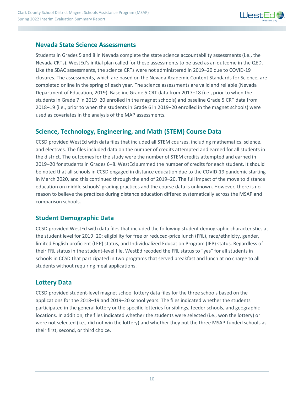

#### **Nevada State Science Assessments**

Students in Grades 5 and 8 in Nevada complete the state science accountability assessments (i.e., the Nevada CRTs). WestEd's initial plan called for these assessments to be used as an outcome in the QED. Like the SBAC assessments, the science CRTs were not administered in 2019-20 due to COVID-19 closures. The assessments, which are based on the Nevada Academic Content Standards for Science, are completed online in the spring of each year. The science assessments are valid and reliable (Nevada Department of Education, 2019). Baseline Grade 5 CRT data from 2017-18 (i.e., prior to when the students in Grade 7 in 2019–20 enrolled in the magnet schools) and baseline Grade 5 CRT data from 2018–19 (i.e., prior to when the students in Grade 6 in 2019–20 enrolled in the magnet schools) were used as covariates in the analysis of the MAP assessments.

#### **Science, Technology, Engineering, and Math (STEM) Course Data**

CCSD provided WestEd with data files that included all STEM courses, including mathematics, science, and electives. The files included data on the number of credits attempted and earned for all students in the district. The outcomes for the study were the number of STEM credits attempted and earned in 2019‒20 for students in Grades 6‒8. WestEd summed the number of credits for each student. It should be noted that all schools in CCSD engaged in distance education due to the COVID-19 pandemic starting in March 2020, and this continued through the end of 2019-20. The full impact of the move to distance education on middle schools' grading practices and the course data is unknown. However, there is no reason to believe the practices during distance education differed systematically across the MSAP and comparison schools.

#### **Student Demographic Data**

CCSD provided WestEd with data files that included the following student demographic characteristics at the student level for 2019–20: eligibility for free or reduced-price lunch (FRL), race/ethnicity, gender, limited English proficient (LEP) status, and Individualized Education Program (IEP) status. Regardless of their FRL status in the student-level file, WestEd recoded the FRL status to "yes" for all students in schools in CCSD that participated in two programs that served breakfast and lunch at no charge to all students without requiring meal applications.

#### **Lottery Data**

CCSD provided student-level magnet school lottery data files for the three schools based on the applications for the 2018–19 and 2019–20 school years. The files indicated whether the students participated in the general lottery or the specific lotteries for siblings, feeder schools, and geographic locations. In addition, the files indicated whether the students were selected (i.e., won the lottery) or were not selected (i.e., did not win the lottery) and whether they put the three MSAP-funded schools as their first, second, or third choice.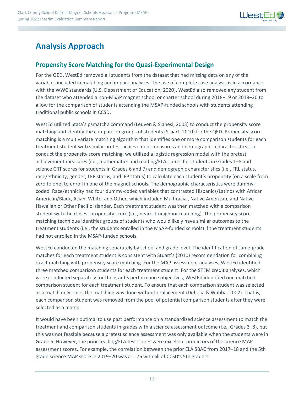

## **Analysis Approach**

#### **Propensity Score Matching for the Quasi-Experimental Design**

For the QED, WestEd removed all students from the dataset that had missing data on any of the variables included in matching and impact analyses. The use of complete case analysis is in accordance with the WWC standards (U.S. Department of Education, 2020). WestEd also removed any student from the dataset who attended a non-MSAP magnet school or charter school during 2018-19 or 2019-20 to allow for the comparison of students attending the MSAP-funded schools with students attending traditional public schools in CCSD.

WestEd utilized Stata's psmatch2 command (Leuven & Sianesi, 2003) to conduct the propensity score matching and identify the comparison groups of students (Stuart, 2010) for the QED. Propensity score matching is a multivariate matching algorithm that identifies one or more comparison students for each treatment student with similar pretest achievement measures and demographic characteristics. To conduct the propensity score matching, we utilized a logistic regression model with the pretest achievement measures (i.e., mathematics and reading/ELA scores for students in Grades 1–8 and science CRT scores for students in Grades 6 and 7) and demographic characteristics (i.e., FRL status, race/ethnicity, gender, LEP status, and IEP status) to calculate each student's propensity (on a scale from zero to one) to enroll in one of the magnet schools. The demographic characteristics were dummycoded. Race/ethnicity had four dummy-coded variables that contrasted Hispanics/Latinos with African American/Black, Asian, White, and Other, which included Multiracial, Native American, and Native Hawaiian or Other Pacific Islander. Each treatment student was then matched with a comparison student with the closest propensity score (i.e., nearest-neighbor matching). The propensity score matching technique identifies groups of students who would likely have similar outcomes to the treatment students (i.e., the students enrolled in the MSAP-funded schools) if the treatment students had not enrolled in the MSAP-funded schools.

WestEd conducted the matching separately by school and grade level. The identification of same-grade matches for each treatment student is consistent with Stuart's (2010) recommendation for combining exact matching with propensity score matching. For the MAP assessment analyses, WestEd identified three matched comparison students for each treatment student. For the STEM credit analyses, which were conducted separately for the grant's performance objectives, WestEd identified one matched comparison student for each treatment student. To ensure that each comparison student was selected as a match only once, the matching was done without replacement (Dehejia & Wahba, 2002). That is, each comparison student was removed from the pool of potential comparison students after they were selected as a match.

It would have been optimal to use past performance on a standardized science assessment to match the treatment and comparison students in grades with a science assessment outcome (i.e., Grades 3–8), but this was not feasible because a pretest science assessment was only available when the students were in Grade 5. However, the prior reading/ELA test scores were excellent predictors of the science MAP assessment scores. For example, the correlation between the prior ELA SBAC from 2017–18 and the 5th grade science MAP score in 2019–20 was *r* = .76 with all of CCSD's 5th graders.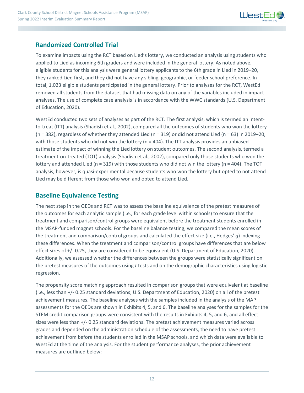

#### **Randomized Controlled Trial**

To examine impacts using the RCT based on Lied's lottery, we conducted an analysis using students who applied to Lied as incoming 6th graders and were included in the general lottery. As noted above, eligible students for this analysis were general lottery applicants to the 6th grade in Lied in 2019–20, they ranked Lied first, and they did not have any sibling, geographic, or feeder school preference. In total, 1,023 eligible students participated in the general lottery. Prior to analyses for the RCT, WestEd removed all students from the dataset that had missing data on any of the variables included in impact analyses. The use of complete case analysis is in accordance with the WWC standards (U.S. Department of Education, 2020).

WestEd conducted two sets of analyses as part of the RCT. The first analysis, which is termed an intentto-treat (ITT) analysis (Shadish et al., 2002), compared all the outcomes of students who won the lottery (n = 382), regardless of whether they attended Lied (n = 319) or did not attend Lied (n = 63) in 2019–20, with those students who did not win the lottery (n = 404). The ITT analysis provides an unbiased estimate of the impact of winning the Lied lottery on student outcomes. The second analysis, termed a treatment-on-treated (TOT) analysis (Shadish et al., 2002), compared only those students who won the lottery and attended Lied ( $n = 319$ ) with those students who did not win the lottery ( $n = 404$ ). The TOT analysis, however, is quasi-experimental because students who won the lottery but opted to not attend Lied may be different from those who won and opted to attend Lied.

#### **Baseline Equivalence Testing**

The next step in the QEDs and RCT was to assess the baseline equivalence of the pretest measures of the outcomes for each analytic sample (i.e., for each grade level within schools) to ensure that the treatment and comparison/control groups were equivalent before the treatment students enrolled in the MSAP-funded magnet schools. For the baseline balance testing, we compared the mean scores of the treatment and comparison/control groups and calculated the effect size (i.e., Hedges' *g*) indexing these differences. When the treatment and comparison/control groups have differences that are below effect sizes of +/- 0.25, they are considered to be equivalent (U.S. Department of Education, 2020). Additionally, we assessed whether the differences between the groups were statistically significant on the pretest measures of the outcomes using *t* tests and on the demographic characteristics using logistic regression.

The propensity score matching approach resulted in comparison groups that were equivalent at baseline (i.e., less than +/- 0.25 standard deviations; U.S. Department of Education, 2020) on all of the pretest achievement measures. The baseline analyses with the samples included in the analysis of the MAP assessments for the QEDs are shown in Exhibits 4, 5, and 6. The baseline analyses for the samples for the STEM credit comparison groups were consistent with the results in Exhibits 4, 5, and 6, and all effect sizes were less than +/- 0.25 standard deviations. The pretest achievement measures varied across grades and depended on the administration schedule of the assessments, the need to have pretest achievement from before the students enrolled in the MSAP schools, and which data were available to WestEd at the time of the analysis. For the student performance analyses, the prior achievement measures are outlined below: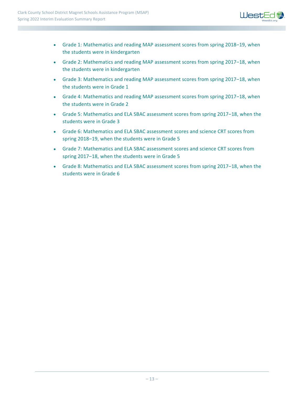

- Grade 1: Mathematics and reading MAP assessment scores from spring 2018-19, when the students were in kindergarten
- Grade 2: Mathematics and reading MAP assessment scores from spring 2017–18, when the students were in kindergarten
- Grade 3: Mathematics and reading MAP assessment scores from spring 2017-18, when the students were in Grade 1
- Grade 4: Mathematics and reading MAP assessment scores from spring 2017–18, when the students were in Grade 2
- Grade 5: Mathematics and ELA SBAC assessment scores from spring 2017–18, when the students were in Grade 3
- Grade 6: Mathematics and ELA SBAC assessment scores and science CRT scores from spring 2018-19, when the students were in Grade 5
- Grade 7: Mathematics and ELA SBAC assessment scores and science CRT scores from spring 2017-18, when the students were in Grade 5
- Grade 8: Mathematics and ELA SBAC assessment scores from spring 2017-18, when the students were in Grade 6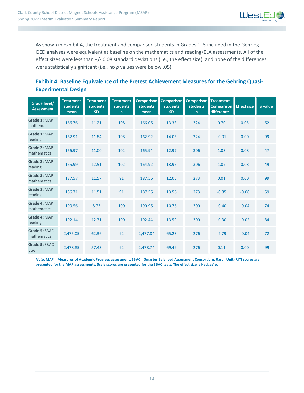

As shown in Exhibit 4, the treatment and comparison students in Grades 1-5 included in the Gehring QED analyses were equivalent at baseline on the mathematics and reading/ELA assessments. All of the effect sizes were less than +/- 0.08 standard deviations (i.e., the effect size), and none of the differences were statistically significant (i.e., no *p* values were below .05).

#### **Exhibit 4. Baseline Equivalence of the Pretest Achievement Measures for the Gehring Quasi-Experimental Design**

| Grade level/<br><b>Assessment</b> | <b>Treatment</b><br><b>students</b><br>mean | <b>Treatment</b><br><b>students</b><br><b>SD</b> | <b>Treatment</b><br><b>students</b><br>$\mathsf{n}$ | <b>Comparison</b><br><b>students</b><br>mean | <b>Comparison</b><br><b>students</b><br><b>SD</b> | <b>Comparison</b><br><b>students</b><br>$\mathsf{n}$ | Treatment-<br><b>Comparison</b><br>difference | <b>Effect size</b> | p value |
|-----------------------------------|---------------------------------------------|--------------------------------------------------|-----------------------------------------------------|----------------------------------------------|---------------------------------------------------|------------------------------------------------------|-----------------------------------------------|--------------------|---------|
| Grade 1: MAP<br>mathematics       | 166.76                                      | 11.21                                            | 108                                                 | 166.06                                       | 13.33                                             | 324                                                  | 0.70                                          | 0.05               | .62     |
| Grade 1: MAP<br>reading           | 162.91                                      | 11.84                                            | 108                                                 | 162.92                                       | 14.05                                             | 324                                                  | $-0.01$                                       | 0.00               | .99     |
| Grade 2: MAP<br>mathematics       | 166.97                                      | 11.00                                            | 102                                                 | 165.94                                       | 12.97                                             | 306                                                  | 1.03                                          | 0.08               | .47     |
| Grade 2: MAP<br>reading           | 165.99                                      | 12.51                                            | 102                                                 | 164.92                                       | 13.95                                             | 306                                                  | 1.07                                          | 0.08               | .49     |
| Grade 3: MAP<br>mathematics       | 187.57                                      | 11.57                                            | 91                                                  | 187.56                                       | 12.05                                             | 273                                                  | 0.01                                          | 0.00               | .99     |
| Grade 3: MAP<br>reading           | 186.71                                      | 11.51                                            | 91                                                  | 187.56                                       | 13.56                                             | 273                                                  | $-0.85$                                       | $-0.06$            | .59     |
| Grade 4: MAP<br>mathematics       | 190.56                                      | 8.73                                             | 100                                                 | 190.96                                       | 10.76                                             | 300                                                  | $-0.40$                                       | $-0.04$            | .74     |
| Grade 4: MAP<br>reading           | 192.14                                      | 12.71                                            | 100                                                 | 192.44                                       | 13.59                                             | 300                                                  | $-0.30$                                       | $-0.02$            | .84     |
| Grade 5: SBAC<br>mathematics      | 2,475.05                                    | 62.36                                            | 92                                                  | 2,477.84                                     | 65.23                                             | 276                                                  | $-2.79$                                       | $-0.04$            | .72     |
| Grade 5: SBAC<br><b>ELA</b>       | 2,478.85                                    | 57.43                                            | 92                                                  | 2,478.74                                     | 69.49                                             | 276                                                  | 0.11                                          | 0.00               | .99     |

*Note***. MAP = Measures of Academic Progress assessment. SBAC = Smarter Balanced Assessment Consortium. Rasch Unit (RIT) scores are presented for the MAP assessments. Scale scores are presented for the SBAC tests. The effect size is Hedges'** *g***.**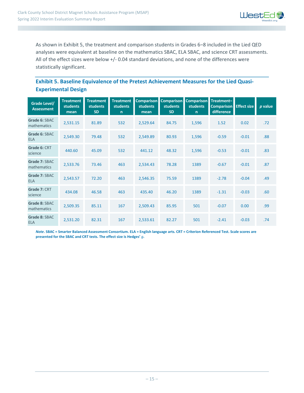

As shown in Exhibit 5, the treatment and comparison students in Grades 6-8 included in the Lied QED analyses were equivalent at baseline on the mathematics SBAC, ELA SBAC, and science CRT assessments. All of the effect sizes were below +/- 0.04 standard deviations, and none of the differences were statistically significant.

#### **Exhibit 5. Baseline Equivalence of the Pretest Achievement Measures for the Lied Quasi-Experimental Design**

| Grade Level/<br><b>Assessment</b> | <b>Treatment</b><br><b>students</b><br>mean | <b>Treatment</b><br>students<br><b>SD</b> | <b>Treatment</b><br>students<br>$\mathsf{n}$ | <b>Comparison</b><br><b>students</b><br>mean | <b>Comparison</b><br><b>students</b><br><b>SD</b> | <b>Comparison</b><br><b>students</b><br>$\mathsf{n}$ | Treatment-<br><b>Comparison</b><br>difference | <b>Effect size</b> | p value |
|-----------------------------------|---------------------------------------------|-------------------------------------------|----------------------------------------------|----------------------------------------------|---------------------------------------------------|------------------------------------------------------|-----------------------------------------------|--------------------|---------|
| Grade 6: SBAC<br>mathematics      | 2,531.15                                    | 81.89                                     | 532                                          | 2,529.64                                     | 84.75                                             | 1,596                                                | 1.52                                          | 0.02               | .72     |
| Grade 6: SBAC<br><b>ELA</b>       | 2,549.30                                    | 79.48                                     | 532                                          | 2,549.89                                     | 80.93                                             | 1,596                                                | $-0.59$                                       | $-0.01$            | .88     |
| Grade 6: CRT<br>science           | 440.60                                      | 45.09                                     | 532                                          | 441.12                                       | 48.32                                             | 1,596                                                | $-0.53$                                       | $-0.01$            | .83     |
| Grade 7: SBAC<br>mathematics      | 2,533.76                                    | 73.46                                     | 463                                          | 2,534.43                                     | 78.28                                             | 1389                                                 | $-0.67$                                       | $-0.01$            | .87     |
| Grade 7: SBAC<br><b>ELA</b>       | 2,543.57                                    | 72.20                                     | 463                                          | 2,546.35                                     | 75.59                                             | 1389                                                 | $-2.78$                                       | $-0.04$            | .49     |
| Grade 7: CRT<br>science           | 434.08                                      | 46.58                                     | 463                                          | 435.40                                       | 46.20                                             | 1389                                                 | $-1.31$                                       | $-0.03$            | .60     |
| Grade 8: SBAC<br>mathematics      | 2,509.35                                    | 85.11                                     | 167                                          | 2,509.43                                     | 85.95                                             | 501                                                  | $-0.07$                                       | 0.00               | .99     |
| Grade 8: SBAC<br><b>ELA</b>       | 2,531.20                                    | 82.31                                     | 167                                          | 2,533.61                                     | 82.27                                             | 501                                                  | $-2.41$                                       | $-0.03$            | .74     |

*Note***. SBAC = Smarter Balanced Assessment Consortium. ELA = English language arts. CRT = Criterion Referenced Test. Scale scores are presented for the SBAC and CRT tests. The effect size is Hedges'** *g***.**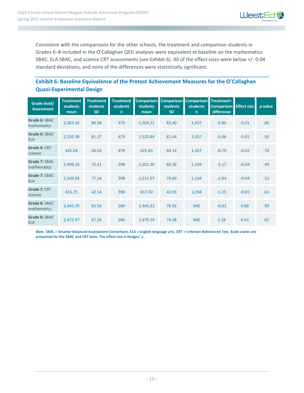

Consistent with the comparisons for the other schools, the treatment and comparison students in Grades 6‒8 included in the O'Callaghan QED analyses were equivalent at baseline on the mathematics SBAC, ELA SBAC, and science CRT assessments (see Exhibit 6). All of the effect sizes were below +/- 0.04 standard deviations, and none of the differences were statistically significant.

#### **Exhibit 6. Baseline Equivalence of the Pretest Achievement Measures for the O'Callaghan Quasi-Experimental Design**

| Grade level/<br><b>Assessment</b> | <b>Treatment</b><br><b>students</b><br>mean | <b>Treatment</b><br><b>students</b><br><b>SD</b> | <b>Treatment</b><br>students<br>$\mathsf{n}$ | <b>Comparison</b><br><b>students</b><br>mean | <b>Comparison</b><br><b>students</b><br><b>SD</b> | <b>Comparison</b><br><b>students</b><br>$\mathsf{n}$ | Treatment-<br><b>Comparison</b><br>difference | <b>Effect size</b> | p value |
|-----------------------------------|---------------------------------------------|--------------------------------------------------|----------------------------------------------|----------------------------------------------|---------------------------------------------------|------------------------------------------------------|-----------------------------------------------|--------------------|---------|
| Grade 6: SBAC<br>mathematics      | 2,503.42                                    | 80.38                                            | 479                                          | 2,504.22                                     | 83.40                                             | 1,437                                                | $-0.80$                                       | $-0.01$            | .86     |
| Grade 6: SBAC<br><b>ELA</b>       | 2,520.38                                    | 81.27                                            | 479                                          | 2,520.84                                     | 81.44                                             | 1,437                                                | $-0.46$                                       | $-0.01$            | .92     |
| Grade 6: CRT<br>science           | 425.04                                      | 44.52                                            | 479                                          | 425.83                                       | 44.14                                             | 1,437                                                | $-0.79$                                       | $-0.02$            | .74     |
| Grade 7: SBAC<br>mathematics      | 2,498.19                                    | 72.41                                            | 398                                          | 2,501.36                                     | 80.36                                             | 1,194                                                | $-3.17$                                       | $-0.04$            | .49     |
| Grade 7: SBAC<br><b>ELA</b>       | 2,509.04                                    | 77.14                                            | 398                                          | 2,511.97                                     | 79.69                                             | 1,194                                                | $-2.94$                                       | $-0.04$            | .52     |
| Grade 7: CRT<br>science           | 416.25                                      | 42.54                                            | 398                                          | 417.50                                       | 42.93                                             | 1,194                                                | $-1.25$                                       | $-0.03$            | .61     |
| Grade 8: SBAC<br>mathematics      | 2,445.29                                    | 65.56                                            | 280                                          | 2,445.33                                     | 78.92                                             | 840                                                  | $-0.03$                                       | 0.00               | .99     |
| Grade 8: SBAC<br><b>ELA</b>       | 2,472.47                                    | 67.26                                            | 280                                          | 2,470.19                                     | 74.28                                             | 840                                                  | 2.28                                          | 0.03               | .65     |

*Note***. SBAC = Smarter Balanced Assessment Consortium. ELA = English language arts. CRT = Criterion Referenced Test. Scale scores are presented for the SBAC and CRT tests. The effect size is Hedges'** *g***.**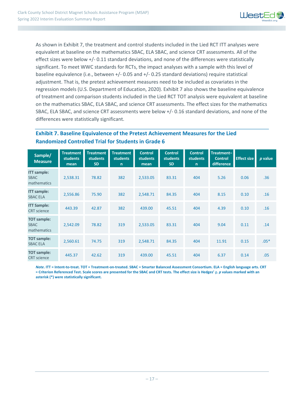

As shown in Exhibit 7, the treatment and control students included in the Lied RCT ITT analyses were equivalent at baseline on the mathematics SBAC, ELA SBAC, and science CRT assessments. All of the effect sizes were below +/- 0.11 standard deviations, and none of the differences were statistically significant. To meet WWC standards for RCTs, the impact analyses with a sample with this level of baseline equivalence (i.e., between +/- 0.05 and +/- 0.25 standard deviations) require statistical adjustment. That is, the pretest achievement measures need to be included as covariates in the regression models (U.S. Department of Education, 2020). Exhibit 7 also shows the baseline equivalence of treatment and comparison students included in the Lied RCT TOT analysis were equivalent at baseline on the mathematics SBAC, ELA SBAC, and science CRT assessments. The effect sizes for the mathematics SBAC, ELA SBAC, and science CRT assessments were below +/- 0.16 standard deviations, and none of the differences were statistically significant.

#### **Exhibit 7. Baseline Equivalence of the Pretest Achievement Measures for the Lied Randomized Controlled Trial for Students in Grade 6**

| Sample/<br><b>Measure</b>                        | <b>Treatment</b><br><b>students</b><br>mean | <b>Treatment</b><br><b>students</b><br><b>SD</b> | <b>Treatment</b><br><b>students</b><br>$\mathsf{n}$ | <b>Control</b><br><b>students</b><br>mean | <b>Control</b><br>students<br><b>SD</b> | <b>Control</b><br><b>students</b><br>$\mathsf{n}$ | Treatment-<br><b>Control</b><br>difference | <b>Effect size</b> | p value |
|--------------------------------------------------|---------------------------------------------|--------------------------------------------------|-----------------------------------------------------|-------------------------------------------|-----------------------------------------|---------------------------------------------------|--------------------------------------------|--------------------|---------|
| <b>ITT</b> sample:<br><b>SBAC</b><br>mathematics | 2,538.31                                    | 78.82                                            | 382                                                 | 2,533.05                                  | 83.31                                   | 404                                               | 5.26                                       | 0.06               | .36     |
| <b>ITT</b> sample:<br><b>SBAC ELA</b>            | 2,556.86                                    | 75.90                                            | 382                                                 | 2,548.71                                  | 84.35                                   | 404                                               | 8.15                                       | 0.10               | .16     |
| <b>ITT Sample:</b><br><b>CRT</b> science         | 443.39                                      | 42.87                                            | 382                                                 | 439.00                                    | 45.51                                   | 404                                               | 4.39                                       | 0.10               | .16     |
| <b>TOT</b> sample:<br><b>SBAC</b><br>mathematics | 2,542.09                                    | 78.82                                            | 319                                                 | 2,533.05                                  | 83.31                                   | 404                                               | 9.04                                       | 0.11               | .14     |
| <b>TOT sample:</b><br><b>SBAC ELA</b>            | 2,560.61                                    | 74.75                                            | 319                                                 | 2,548.71                                  | 84.35                                   | 404                                               | 11.91                                      | 0.15               | $.05*$  |
| <b>TOT</b> sample:<br><b>CRT</b> science         | 445.37                                      | 42.62                                            | 319                                                 | 439.00                                    | 45.51                                   | 404                                               | 6.37                                       | 0.14               | .05     |

*Note***. ITT = Intent-to-treat. TOT = Treatment-on-treated. SBAC = Smarter Balanced Assessment Consortium. ELA = English language arts. CRT = Criterion Referenced Test. Scale scores are presented for the SBAC and CRT tests. The effect size is Hedges'** *g***.** *p* **values marked with an asterisk (\*) were statistically significant.**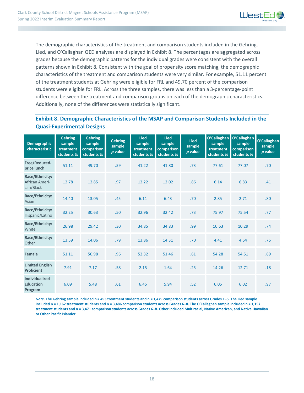

The demographic characteristics of the treatment and comparison students included in the Gehring, Lied, and O'Callaghan QED analyses are displayed in Exhibit 8. The percentages are aggregated across grades because the demographic patterns for the individual grades were consistent with the overall patterns shown in Exhibit 8. Consistent with the goal of propensity score matching, the demographic characteristics of the treatment and comparison students were very similar. For example, 51.11 percent of the treatment students at Gehring were eligible for FRL and 49.70 percent of the comparison students were eligible for FRL. Across the three samples, there was less than a 3-percentage-point difference between the treatment and comparison groups on each of the demographic characteristics. Additionally, none of the differences were statistically significant.

#### **Exhibit 8. Demographic Characteristics of the MSAP and Comparison Students Included in the Quasi-Experimental Designs**

| <b>Demographic</b><br>characteristic                 | <b>Gehring</b><br>sample<br>treatment<br>students % | <b>Gehring</b><br>sample<br>comparison<br>students % | <b>Gehring</b><br>sample<br>p value | <b>Lied</b><br>sample<br>treatment<br>students % | <b>Lied</b><br>sample<br>comparison<br>students % | <b>Lied</b><br>sample<br>$p$ value | O'Callaghan<br>sample<br>treatment<br>students % | O'Callaghan<br>sample<br>comparison<br>students % | O'Callaghan<br>sample<br>p value |
|------------------------------------------------------|-----------------------------------------------------|------------------------------------------------------|-------------------------------------|--------------------------------------------------|---------------------------------------------------|------------------------------------|--------------------------------------------------|---------------------------------------------------|----------------------------------|
| Free/Reduced-<br>price lunch                         | 51.11                                               | 49.70                                                | .59                                 | 41.22                                            | 41.80                                             | .73                                | 77.61                                            | 77.07                                             | .70                              |
| Race/Ethnicity:<br>African Ameri-<br>can/Black       | 12.78                                               | 12.85                                                | .97                                 | 12.22                                            | 12.02                                             | .86                                | 6.14                                             | 6.83                                              | .41                              |
| Race/Ethnicity:<br>Asian                             | 14.40                                               | 13.05                                                | .45                                 | 6.11                                             | 6.43                                              | .70                                | 2.85                                             | 2.71                                              | .80                              |
| Race/Ethnicity:<br>Hispanic/Latino                   | 32.25                                               | 30.63                                                | .50                                 | 32.96                                            | 32.42                                             | .73                                | 75.97                                            | 75.54                                             | .77                              |
| Race/Ethnicity:<br>White                             | 26.98                                               | 29.42                                                | .30                                 | 34.85                                            | 34.83                                             | .99                                | 10.63                                            | 10.29                                             | .74                              |
| Race/Ethnicity:<br>Other                             | 13.59                                               | 14.06                                                | .79                                 | 13.86                                            | 14.31                                             | .70                                | 4.41                                             | 4.64                                              | .75                              |
| Female                                               | 51.11                                               | 50.98                                                | .96                                 | 52.32                                            | 51.46                                             | .61                                | 54.28                                            | 54.51                                             | .89                              |
| <b>Limited English</b><br><b>Proficient</b>          | 7.91                                                | 7.17                                                 | .58                                 | 2.15                                             | 1.64                                              | .25                                | 14.26                                            | 12.71                                             | .18                              |
| <b>Individualized</b><br><b>Education</b><br>Program | 6.09                                                | 5.48                                                 | .61                                 | 6.45                                             | 5.94                                              | .52                                | 6.05                                             | 6.02                                              | .97                              |

*Note***. The Gehring sample included n = 493 treatment students and n = 1,479 comparison students across Grades 1‒5. The Lied sample included n = 1,162 treatment students and n = 3,486 comparison students across Grades 6‒8. The O'Callaghan sample included n = 1,157 treatment students and n = 3,471 comparison students across Grades 6‒8. Other included Multiracial, Native American, and Native Hawaiian or Other Pacific Islander.**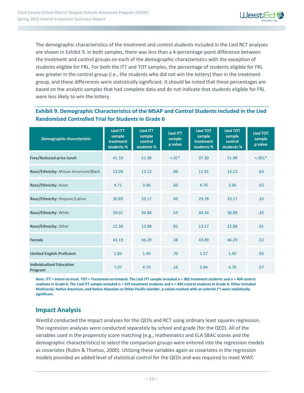

The demographic characteristics of the treatment and control students included in the Lied RCT analyses are shown in Exhibit 9. In both samples, there was less than a 4-percentage-point difference between the treatment and control groups on each of the demographic characteristics with the exception of students eligible for FRL. For both the ITT and TOT samples, the percentage of students eligible for FRL was greater in the control group (i.e., the students who did not win the lottery) than in the treatment group, and these differences were statistically significant. It should be noted that these percentages are based on the analytic samples that had complete data and do not indicate that students eligible for FRL were less likely to win the lottery.

#### **Exhibit 9. Demographic Characteristics of the MSAP and Control Students Included in the Lied Randomized Controlled Trial for Students in Grade 6**

| <b>Demographic characteristic</b>          | <b>Lied ITT</b><br>sample<br>treatment<br>students % | <b>Lied ITT</b><br>sample<br>control<br>students % | <b>Lied ITT</b><br>sample<br>$p$ value | <b>Lied TOT</b><br>sample<br>treatment<br>students % | <b>Lied TOT</b><br>sample<br>control<br>students % | <b>Lied TOT</b><br>sample<br>p value |
|--------------------------------------------|------------------------------------------------------|----------------------------------------------------|----------------------------------------|------------------------------------------------------|----------------------------------------------------|--------------------------------------|
| Free/Reduced-price lunch                   | 41.10                                                | 51.98                                              | $-.01*$                                | 37.30                                                | 51.98                                              | $< .001*$                            |
| Race/Ethnicity: African American/Black     | 13.09                                                | 13.12                                              | .99                                    | 11.91                                                | 13.12                                              | .63                                  |
| Race/Ethnicity: Asian                      | 4.71                                                 | 3.96                                               | .60                                    | 4.70                                                 | 3.96                                               | .63                                  |
| Race/Ethnicity: Hispanic/Latino            | 30.89                                                | 33.17                                              | .49                                    | 29.78                                                | 33.17                                              | .33                                  |
| Race/Ethnicity: White                      | 39.01                                                | 36.88                                              | .54                                    | 40.44                                                | 36.88                                              | .33                                  |
| Race/Ethnicity: Other                      | 12.30                                                | 12.88                                              | .81                                    | 13.17                                                | 12.88                                              | .91                                  |
| Female                                     | 43.19                                                | 46.29                                              | .38                                    | 43.89                                                | 46.29                                              | .52                                  |
| <b>Limited English Proficient</b>          | 1.83                                                 | 1.49                                               | .70                                    | 1.57                                                 | 1.49                                               | .93                                  |
| <b>Individualized Education</b><br>Program | 7.07                                                 | 4.70                                               | .16                                    | 5.64                                                 | 4.70                                               | .57                                  |

*Note***. ITT = Intent-to-treat. TOT = Treatment-on-treated. The Lied ITT sample included n = 382 treatment students and n = 404 control students in Grade 6. The Lied ITT sample included n = 319 treatment students and n = 404 control students in Grade 6. Other included Multiracial, Native American, and Native Hawaiian or Other Pacific Islander.** *p* **values marked with an asterisk (\*) were statistically significant.**

#### **Impact Analysis**

WestEd conducted the impact analyses for the QEDs and RCT using ordinary least squares regression. The regression analyses were conducted separately by school and grade (for the QED). All of the variables used in the propensity score matching (e.g., mathematics and ELA SBAC scores and the demographic characteristics) to select the comparison groups were entered into the regression models as covariates (Rubin & Thomas, 2000). Utilizing these variables again as covariates in the regression models provided an added level of statistical control for the QEDs and was required to meet WWC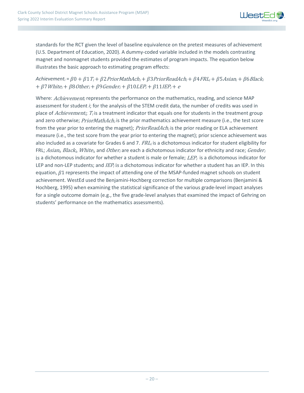

standards for the RCT given the level of baseline equivalence on the pretest measures of achievement (U.S. Department of Education, 2020). A dummy-coded variable included in the models contrasting magnet and nonmagnet students provided the estimates of program impacts. The equation below illustrates the basic approach to estimating program effects:

#### $A$ chievement<sub>i</sub> =  $\beta$ 0 +  $\beta$ 1 T<sub>i</sub> +  $\beta$ 2 PriorMathAch<sub>i</sub> +  $\beta$ 3 PriorReadAch<sub>i</sub> +  $\beta$ 4 FRL<sub>i</sub> +  $\beta$ 5 Asian<sub>i</sub> +  $\beta$ 6 Black<sub>i</sub>  $+ \beta$ 7 White<sub>i</sub> +  $\beta$ 8 Other<sub>i</sub> +  $\beta$ 9 Gender<sub>i</sub> +  $\beta$ 10 LEP<sub>i</sub> +  $\beta$ 11 IEP<sub>i</sub> + e

Where: Achievement<sub>i</sub> represents the performance on the mathematics, reading, and science MAP assessment for student *i*; for the analysis of the STEM credit data, the number of credits was used in place of Achievement<sub>i</sub>;  $T_i$  is a treatment indicator that equals one for students in the treatment group and zero otherwise; PriorMathAch<sub>i</sub> is the prior mathematics achievement measure (i.e., the test score from the year prior to entering the magnet); PriorReadAch<sub>i</sub> is the prior reading or ELA achievement measure (i.e., the test score from the year prior to entering the magnet); prior science achievement was also included as a covariate for Grades 6 and 7.  $FRL<sub>i</sub>$  is a dichotomous indicator for student eligibility for FRL; Asian<sub>i</sub>, Black<sub>i</sub>, White<sub>i</sub>, and Other<sub>i</sub> are each a dichotomous indicator for ethnicity and race; Gender<sub>i</sub> is a dichotomous indicator for whether a student is male or female;  $LEP_i$  is a dichotomous indicator for LEP and non-LEP students; and  $\textit{IEP}_i$  is a dichotomous indicator for whether a student has an IEP. In this equation,  $\beta$ 1 represents the impact of attending one of the MSAP-funded magnet schools on student achievement. WestEd used the Benjamini-Hochberg correction for multiple comparisons (Benjamini & Hochberg, 1995) when examining the statistical significance of the various grade-level impact analyses for a single outcome domain (e.g., the five grade-level analyses that examined the impact of Gehring on students' performance on the mathematics assessments).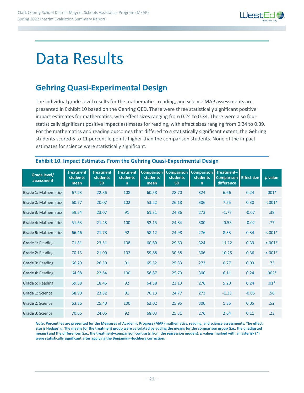

## Data Results

## **Gehring Quasi-Experimental Design**

The individual grade-level results for the mathematics, reading, and science MAP assessments are presented in Exhibit 10 based on the Gehring QED. There were three statistically significant positive impact estimates for mathematics, with effect sizes ranging from 0.24 to 0.34. There were also four statistically significant positive impact estimates for reading, with effect sizes ranging from 0.24 to 0.39. For the mathematics and reading outcomes that differed to a statistically significant extent, the Gehring students scored 5 to 11 percentile points higher than the comparison students. None of the impact estimates for science were statistically significant.

| Grade level/<br>assessment  | <b>Treatment</b><br><b>students</b><br>mean | <b>Treatment</b><br><b>students</b><br><b>SD</b> | <b>Treatment</b><br><b>students</b><br>n | <b>Comparison</b><br>students<br>mean | <b>Comparison</b><br><b>students</b><br><b>SD</b> | <b>Comparison</b><br><b>students</b><br>$\mathsf{n}$ | Treatment-<br><b>Comparison</b><br>difference | <b>Effect size</b> | <i>p</i> value |
|-----------------------------|---------------------------------------------|--------------------------------------------------|------------------------------------------|---------------------------------------|---------------------------------------------------|------------------------------------------------------|-----------------------------------------------|--------------------|----------------|
| <b>Grade 1: Mathematics</b> | 67.23                                       | 22.86                                            | 108                                      | 60.58                                 | 28.70                                             | 324                                                  | 6.66                                          | 0.24               | $.001*$        |
| <b>Grade 2: Mathematics</b> | 60.77                                       | 20.07                                            | 102                                      | 53.22                                 | 26.18                                             | 306                                                  | 7.55                                          | 0.30               | $< .001*$      |
| <b>Grade 3: Mathematics</b> | 59.54                                       | 23.07                                            | 91                                       | 61.31                                 | 24.86                                             | 273                                                  | $-1.77$                                       | $-0.07$            | .38            |
| <b>Grade 4: Mathematics</b> | 51.63                                       | 21.48                                            | 100                                      | 52.15                                 | 24.84                                             | 300                                                  | $-0.53$                                       | $-0.02$            | .77            |
| <b>Grade 5: Mathematics</b> | 66.46                                       | 21.78                                            | 92                                       | 58.12                                 | 24.98                                             | 276                                                  | 8.33                                          | 0.34               | $< .001*$      |
| <b>Grade 1: Reading</b>     | 71.81                                       | 23.51                                            | 108                                      | 60.69                                 | 29.60                                             | 324                                                  | 11.12                                         | 0.39               | $< .001*$      |
| Grade 2: Reading            | 70.13                                       | 21.00                                            | 102                                      | 59.88                                 | 30.58                                             | 306                                                  | 10.25                                         | 0.36               | $< .001*$      |
| Grade 3: Reading            | 66.29                                       | 26.50                                            | 91                                       | 65.52                                 | 25.33                                             | 273                                                  | 0.77                                          | 0.03               | .73            |
| Grade 4: Reading            | 64.98                                       | 22.64                                            | 100                                      | 58.87                                 | 25.70                                             | 300                                                  | 6.11                                          | 0.24               | $.002*$        |
| <b>Grade 5: Reading</b>     | 69.58                                       | 18.46                                            | 92                                       | 64.38                                 | 23.13                                             | 276                                                  | 5.20                                          | 0.24               | $.01*$         |
| <b>Grade 1: Science</b>     | 68.90                                       | 23.82                                            | 91                                       | 70.13                                 | 24.77                                             | 273                                                  | $-1.23$                                       | $-0.05$            | .58            |
| Grade 2: Science            | 63.36                                       | 25.40                                            | 100                                      | 62.02                                 | 25.95                                             | 300                                                  | 1.35                                          | 0.05               | .52            |
| Grade 3: Science            | 70.66                                       | 24.06                                            | 92                                       | 68.03                                 | 25.31                                             | 276                                                  | 2.64                                          | 0.11               | .23            |

#### **Exhibit 10. Impact Estimates From the Gehring Quasi-Experimental Design**

*Note***. Percentiles are presented for the Measures of Academic Progress (MAP) mathematics, reading, and science assessments. The effect size is Hedges'** *g***. The means for the treatment group were calculated by adding the means for the comparison group (i.e., the unadjusted means) and the differences (i.e., the treatment–comparison contrasts from the regression models).** *p* **values marked with an asterisk (\*) were statistically significant after applying the Benjamini-Hochberg correction.**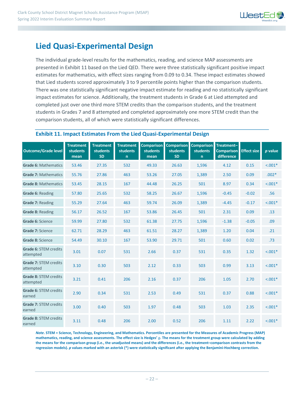

### **Lied Quasi-Experimental Design**

The individual grade-level results for the mathematics, reading, and science MAP assessments are presented in Exhibit 11 based on the Lied QED. There were three statistically significant positive impact estimates for mathematics, with effect sizes ranging from 0.09 to 0.34. These impact estimates showed that Lied students scored approximately 3 to 9 percentile points higher than the comparison students. There was one statistically significant negative impact estimate for reading and no statistically significant impact estimates for science. Additionally, the treatment students in Grade 6 at Lied attempted and completed just over one third more STEM credits than the comparison students, and the treatment students in Grades 7 and 8 attempted and completed approximately one more STEM credit than the comparison students, all of which were statistically significant differences.

#### **Exhibit 11. Impact Estimates From the Lied Quasi-Experimental Design**

| <b>Outcome/Grade level</b>             | <b>Treatment</b><br>students<br>mean | <b>Treatment</b><br>students<br><b>SD</b> | <b>Treatment</b><br><b>students</b><br>$\mathsf{n}$ | <b>Comparison</b><br>students<br>mean | <b>Comparison</b><br>students<br><b>SD</b> | <b>Comparison</b><br><b>students</b><br>n | Treatment-<br><b>Comparison</b><br>difference | <b>Effect size</b> | p value    |
|----------------------------------------|--------------------------------------|-------------------------------------------|-----------------------------------------------------|---------------------------------------|--------------------------------------------|-------------------------------------------|-----------------------------------------------|--------------------|------------|
| <b>Grade 6: Mathematics</b>            | 53.46                                | 27.35                                     | 532                                                 | 49.33                                 | 26.63                                      | 1,596                                     | 4.12                                          | 0.15               | $< .001*$  |
| <b>Grade 7: Mathematics</b>            | 55.76                                | 27.86                                     | 463                                                 | 53.26                                 | 27.05                                      | 1,389                                     | 2.50                                          | 0.09               | $.002*$    |
| <b>Grade 8: Mathematics</b>            | 53.45                                | 28.15                                     | 167                                                 | 44.48                                 | 26.25                                      | 501                                       | 8.97                                          | 0.34               | $< .001*$  |
| Grade 6: Reading                       | 57.80                                | 25.65                                     | 532                                                 | 58.25                                 | 26.67                                      | 1,596                                     | $-0.45$                                       | $-0.02$            | .56        |
| Grade 7: Reading                       | 55.29                                | 27.64                                     | 463                                                 | 59.74                                 | 26.09                                      | 1,389                                     | $-4.45$                                       | $-0.17$            | $< .001*$  |
| <b>Grade 8: Reading</b>                | 56.17                                | 26.52                                     | 167                                                 | 53.86                                 | 26.45                                      | 501                                       | 2.31                                          | 0.09               | .13        |
| Grade 6: Science                       | 59.99                                | 27.80                                     | 532                                                 | 61.38                                 | 27.75                                      | 1,596                                     | $-1.38$                                       | $-0.05$            | .09        |
| Grade 7: Science                       | 62.71                                | 28.29                                     | 463                                                 | 61.51                                 | 28.27                                      | 1,389                                     | 1.20                                          | 0.04               | .21        |
| Grade 8: Science                       | 54.49                                | 30.10                                     | 167                                                 | 53.90                                 | 29.71                                      | 501                                       | 0.60                                          | 0.02               | .73        |
| Grade 6: STEM credits<br>attempted     | 3.01                                 | 0.07                                      | 531                                                 | 2.66                                  | 0.37                                       | 531                                       | 0.35                                          | 1.32               | $< .001*$  |
| Grade 7: STEM credits<br>attempted     | 3.10                                 | 0.30                                      | 503                                                 | 2.12                                  | 0.33                                       | 503                                       | 0.99                                          | 3.13               | $< 0.001*$ |
| Grade 8: STEM credits<br>attempted     | 3.21                                 | 0.41                                      | 206                                                 | 2.16                                  | 0.37                                       | 206                                       | 1.05                                          | 2.70               | $< .001*$  |
| Grade 6: STEM credits<br>earned        | 2.90                                 | 0.34                                      | 531                                                 | 2.53                                  | 0.49                                       | 531                                       | 0.37                                          | 0.88               | $< .001*$  |
| Grade 7: STEM credits<br>earned        | 3.00                                 | 0.40                                      | 503                                                 | 1.97                                  | 0.48                                       | 503                                       | 1.03                                          | 2.35               | $< .001*$  |
| <b>Grade 8: STEM credits</b><br>earned | 3.11                                 | 0.48                                      | 206                                                 | 2.00                                  | 0.52                                       | 206                                       | 1.11                                          | 2.22               | $< .001*$  |

*Note***. STEM = Science, Technology, Engineering, and Mathematics. Percentiles are presented for the Measures of Academic Progress (MAP) mathematics, reading, and science assessments. The effect size is Hedges'** *g***. The means for the treatment group were calculated by adding the means for the comparison group (i.e., the unadjusted means) and the differences (i.e., the treatment–comparison contrasts from the regression models).** *p* **values marked with an asterisk (\*) were statistically significant after applying the Benjamini-Hochberg correction.**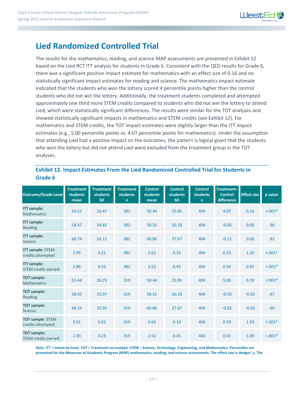

### **Lied Randomized Controlled Trial**

The results for the mathematics, reading, and science MAP assessments are presented in Exhibit 12 based on the Lied RCT ITT analysis for students in Grade 6. Consistent with the QED results for Grade 6, there was a significant positive impact estimate for mathematics with an effect size of 0.16 and no statistically significant impact estimates for reading and science. The mathematics impact estimate indicated that the students who won the lottery scored 4 percentile points higher than the control students who did not win the lottery. Additionally, the treatment students completed and attempted approximately one third more STEM credits compared to students who did not win the lottery to attend Lied, which were statistically significant differences. The results were similar for the TOT analyses and showed statistically significant impacts in mathematics and STEM credits (see Exhibit 12). For mathematics and STEM credits, the TOT impact estimates were slightly larger than the ITT impact estimates (e.g., 5.00 percentile points vs. 4.07 percentile points for mathematics). Under the assumption that attending Lied had a positive impact on the outcomes, the pattern is logical given that the students who won the lottery but did not attend Lied were excluded from the treatment group in the TOT analyses.

#### **Exhibit 12. Impact Estimates From the Lied Randomized Controlled Trial for Students in Grade 6**

| <b>Outcome/Grade Level</b>                       | <b>Treatment</b><br><b>students</b><br>mean | <b>Treatment</b><br><b>students</b><br><b>SD</b> | <b>Treatment</b><br><b>students</b><br>$\mathsf{n}$ | <b>Control</b><br><b>students</b><br>mean | <b>Control</b><br><b>students</b><br><b>SD</b> | <b>Control</b><br><b>students</b><br>n | Treatment-<br><b>Control</b><br>difference | <b>Effect size</b> | p value   |
|--------------------------------------------------|---------------------------------------------|--------------------------------------------------|-----------------------------------------------------|-------------------------------------------|------------------------------------------------|----------------------------------------|--------------------------------------------|--------------------|-----------|
| <b>ITT</b> sample:<br><b>Mathematics</b>         | 54.51                                       | 26.47                                            | 382                                                 | 50.44                                     | 25.85                                          | 404                                    | 4.07                                       | 0.16               | $< .001*$ |
| <b>ITT</b> sample:<br>Reading                    | 58.47                                       | 24.82                                            | 382                                                 | 58.52                                     | 26.18                                          | 404                                    | $-0.06$                                    | 0.00               | .96       |
| <b>ITT</b> sample:<br>Science                    | 60.74                                       | 26.11                                            | 382                                                 | 60.86                                     | 27.67                                          | 404                                    | $-0.12$                                    | 0.00               | .92       |
| <b>ITT sample: STEM</b><br>credits attempted     | 2.95                                        | 0.21                                             | 382                                                 | 2.62                                      | 0.33                                           | 404                                    | 0.33                                       | 1.20               | $< .001*$ |
| <b>ITT</b> sample:<br><b>STEM credits earned</b> | 2.86                                        | 0.33                                             | 382                                                 | 2.52                                      | 0.45                                           | 404                                    | 0.34                                       | 0.85               | $< .001*$ |
| <b>TOT</b> sample:<br><b>Mathematics</b>         | 55.44                                       | 26.23                                            | 319                                                 | 50.44                                     | 25.85                                          | 404                                    | 5.00                                       | 0.19               | $< .001*$ |
| <b>TOT sample:</b><br>Reading                    | 58.03                                       | 25.07                                            | 319                                                 | 58.52                                     | 26.18                                          | 404                                    | $-0.50$                                    | $-0.02$            | .67       |
| <b>TOT sample:</b><br>Science                    | 60.24                                       | 25.92                                            | 319                                                 | 60.86                                     | 27.67                                          | 404                                    | $-0.62$                                    | $-0.02$            | .60       |
| <b>TOT sample: STEM</b><br>credits attempted     | 3.01                                        | 0.03                                             | 319                                                 | 2.62                                      | 0.33                                           | 404                                    | 0.39                                       | 1.59               | $< .001*$ |
| <b>TOT sample:</b><br><b>STEM credits earned</b> | 2.93                                        | 0.23                                             | 319                                                 | 2.52                                      | 0.45                                           | 404                                    | 0.41                                       | 1.09               | $< 0.01*$ |

*Note***. ITT = Intent-to-treat. TOT = Treatment-on-treated. STEM = Science, Technology, Engineering, and Mathematics. Percentiles are presented for the Measures of Academic Progress (MAP) mathematics, reading, and science assessments. The effect size is Hedges'** *g***. The**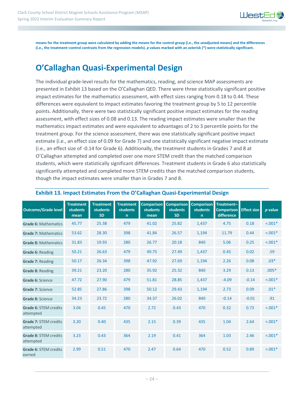

**means for the treatment group were calculated by adding the means for the control group (i.e., the unadjusted means) and the differences (i.e., the treatment–control contrasts from the regression models).** *p* **values marked with an asterisk (\*) were statistically significant.** 

## **O'Callaghan Quasi-Experimental Design**

The individual grade-level results for the mathematics, reading, and science MAP assessments are presented in Exhibit 13 based on the O'Callaghan QED. There were three statistically significant positive impact estimates for the mathematics assessment, with effect sizes ranging from 0.18 to 0.44. These differences were equivalent to impact estimates favoring the treatment group by 5 to 12 percentile points. Additionally, there were two statistically significant positive impact estimates for the reading assessment, with effect sizes of 0.08 and 0.13. The reading impact estimates were smaller than the mathematics impact estimates and were equivalent to advantages of 2 to 3 percentile points for the treatment group. For the science assessment, there was one statistically significant positive impact estimate (i.e., an effect size of 0.09 for Grade 7) and one statistically significant negative impact estimate (i.e., an effect size of -0.14 for Grade 6). Additionally, the treatment students in Grades 7 and 8 at O'Callaghan attempted and completed over one more STEM credit than the matched comparison students, which were statistically significant differences. Treatment students in Grade 6 also statistically significantly attempted and completed more STEM credits than the matched comparison students, though the impact estimates were smaller than in Grades 7 and 8.

| <b>Outcome/Grade level</b>                | <b>Treatment</b><br>students<br>mean | <b>Treatment</b><br><b>students</b><br><b>SD</b> | <b>Treatment</b><br><b>students</b><br>$\mathsf{n}$ | <b>Comparison</b><br><b>students</b><br>mean | <b>Comparison</b><br><b>students</b><br><b>SD</b> | <b>Comparison</b><br><b>students</b><br>n | Treatment-<br><b>Comparison</b><br>difference | <b>Effect size</b> | p value   |
|-------------------------------------------|--------------------------------------|--------------------------------------------------|-----------------------------------------------------|----------------------------------------------|---------------------------------------------------|-------------------------------------------|-----------------------------------------------|--------------------|-----------|
| <b>Grade 6: Mathematics</b>               | 45.77                                | 25.38                                            | 479                                                 | 41.02                                        | 25.82                                             | 1,437                                     | 4.75                                          | 0.18               | $< .001*$ |
| <b>Grade 7: Mathematics</b>               | 53.62                                | 28.30                                            | 398                                                 | 41.84                                        | 26.57                                             | 1,194                                     | 11.79                                         | 0.44               | $< .001*$ |
| <b>Grade 8: Mathematics</b>               | 31.83                                | 19.93                                            | 280                                                 | 26.77                                        | 20.18                                             | 840                                       | 5.06                                          | 0.25               | $< .001*$ |
| Grade 6: Reading                          | 50.21                                | 26.63                                            | 479                                                 | 49.75                                        | 27.49                                             | 1,437                                     | 0.45                                          | 0.02               | .59       |
| Grade 7: Reading                          | 50.17                                | 26.34                                            | 398                                                 | 47.92                                        | 27.69                                             | 1,194                                     | 2.26                                          | 0.08               | $.03*$    |
| <b>Grade 8: Reading</b>                   | 39.21                                | 23.20                                            | 280                                                 | 35.92                                        | 25.32                                             | 840                                       | 3.29                                          | 0.13               | $.005*$   |
| Grade 6: Science                          | 47.72                                | 27.90                                            | 479                                                 | 51.81                                        | 28.85                                             | 1,437                                     | $-4.09$                                       | $-0.14$            | $< .001*$ |
| Grade 7: Science                          | 52.85                                | 27.86                                            | 398                                                 | 50.12                                        | 29.43                                             | 1,194                                     | 2.73                                          | 0.09               | $.01*$    |
| Grade 8: Science                          | 34.23                                | 23.72                                            | 280                                                 | 34.37                                        | 26.02                                             | 840                                       | $-0.14$                                       | $-0.01$            | .91       |
| Grade 6: STEM credits<br>attempted        | 3.04                                 | 0.45                                             | 470                                                 | 2.72                                         | 0.43                                              | 470                                       | 0.32                                          | 0.73               | $< .001*$ |
| <b>Grade 7: STEM credits</b><br>attempted | 3.20                                 | 0.40                                             | 435                                                 | 2.15                                         | 0.39                                              | 435                                       | 1.04                                          | 2.64               | $< .001*$ |
| <b>Grade 8: STEM credits</b><br>attempted | 3.23                                 | 0.43                                             | 364                                                 | 2.19                                         | 0.41                                              | 364                                       | 1.03                                          | 2.46               | $< .001*$ |
| Grade 6: STEM credits<br>earned           | 2.99                                 | 0.51                                             | 470                                                 | 2.47                                         | 0.64                                              | 470                                       | 0.52                                          | 0.89               | $< .001*$ |

#### **Exhibit 13. Impact Estimates From the O'Callaghan Quasi-Experimental Design**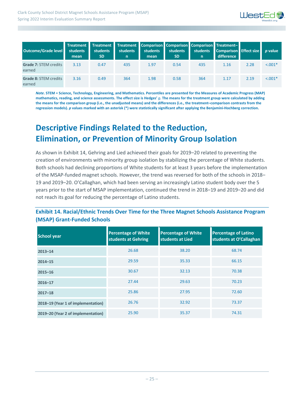

| <b>Outcome/Grade level</b>             | Treatment<br>students<br>mean | <b>Treatment</b><br>students<br><b>SD</b> | students<br>n | students<br>mean | Treatment Comparison Comparison Comparison Treatment-<br>students<br><b>SD</b> | students<br>n. | <b>Comparison</b> Effect size<br>difference |      | <i>p</i> value |
|----------------------------------------|-------------------------------|-------------------------------------------|---------------|------------------|--------------------------------------------------------------------------------|----------------|---------------------------------------------|------|----------------|
| <b>Grade 7: STEM credits</b><br>earned | 3.13                          | 0.47                                      | 435           | 1.97             | 0.54                                                                           | 435            | 1.16                                        | 2.28 | $< 0.001*$     |
| <b>Grade 8: STEM credits</b><br>earned | 3.16                          | 0.49                                      | 364           | 1.98             | 0.58                                                                           | 364            | 1.17                                        | 2.19 | $< .001*$      |

*Note***. STEM = Science, Technology, Engineering, and Mathematics. Percentiles are presented for the Measures of Academic Progress (MAP) mathematics, reading, and science assessments. The effect size is Hedges'** *g***. The means for the treatment group were calculated by adding the means for the comparison group (i.e., the unadjusted means) and the differences (i.e., the treatment–comparison contrasts from the regression models).** *p* **values marked with an asterisk (\*) were statistically significant after applying the Benjamini-Hochberg correction.** 

## **Descriptive Findings Related to the Reduction, Elimination, or Prevention of Minority Group Isolation**

As shown in Exhibit 14, Gehring and Lied achieved their goals for 2019-20 related to preventing the creation of environments with minority group isolation by stabilizing the percentage of White students. Both schools had declining proportions of White students for at least 3 years before the implementation of the MSAP-funded magnet schools. However, the trend was reversed for both of the schools in 2018– 19 and 2019‒20. O'Callaghan, which had been serving an increasingly Latino student body over the 5 years prior to the start of MSAP implementation, continued the trend in 2018–19 and 2019–20 and did not reach its goal for reducing the percentage of Latino students.

#### **Exhibit 14. Racial/Ethnic Trends Over Time for the Three Magnet Schools Assistance Program (MSAP) Grant-Funded Schools**

| <b>School year</b>                 | <b>Percentage of White</b><br>students at Gehring | <b>Percentage of White</b><br>students at Lied | <b>Percentage of Latino</b><br>students at O'Callaghan |
|------------------------------------|---------------------------------------------------|------------------------------------------------|--------------------------------------------------------|
| $2013 - 14$                        | 26.68                                             | 38.20                                          | 68.74                                                  |
| $2014 - 15$                        | 29.59                                             | 35.33                                          | 66.15                                                  |
| $2015 - 16$                        | 30.67                                             | 32.13                                          | 70.38                                                  |
| $2016 - 17$                        | 27.44                                             | 29.63                                          | 70.23                                                  |
| $2017 - 18$                        | 25.86                                             | 27.95                                          | 72.60                                                  |
| 2018-19 (Year 1 of implementation) | 26.76                                             | 32.92                                          | 73.37                                                  |
| 2019-20 (Year 2 of implementation) | 25.90                                             | 35.37                                          | 74.31                                                  |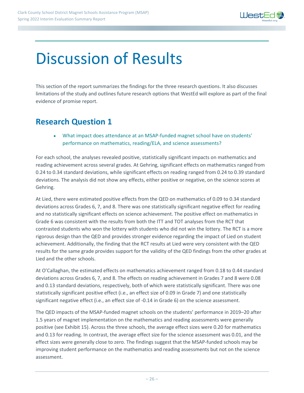

## Discussion of Results

This section of the report summarizes the findings for the three research questions. It also discusses limitations of the study and outlines future research options that WestEd will explore as part of the final evidence of promise report.

### **Research Question 1**

• What impact does attendance at an MSAP-funded magnet school have on students' performance on mathematics, reading/ELA, and science assessments?

For each school, the analyses revealed positive, statistically significant impacts on mathematics and reading achievement across several grades. At Gehring, significant effects on mathematics ranged from 0.24 to 0.34 standard deviations, while significant effects on reading ranged from 0.24 to 0.39 standard deviations. The analysis did not show any effects, either positive or negative, on the science scores at Gehring.

At Lied, there were estimated positive effects from the QED on mathematics of 0.09 to 0.34 standard deviations across Grades 6, 7, and 8. There was one statistically significant negative effect for reading and no statistically significant effects on science achievement. The positive effect on mathematics in Grade 6 was consistent with the results from both the ITT and TOT analyses from the RCT that contrasted students who won the lottery with students who did not win the lottery. The RCT is a more rigorous design than the QED and provides stronger evidence regarding the impact of Lied on student achievement. Additionally, the finding that the RCT results at Lied were very consistent with the QED results for the same grade provides support for the validity of the QED findings from the other grades at Lied and the other schools.

At O'Callaghan, the estimated effects on mathematics achievement ranged from 0.18 to 0.44 standard deviations across Grades 6, 7, and 8. The effects on reading achievement in Grades 7 and 8 were 0.08 and 0.13 standard deviations, respectively, both of which were statistically significant. There was one statistically significant positive effect (i.e., an effect size of 0.09 in Grade 7) and one statistically significant negative effect (i.e., an effect size of -0.14 in Grade 6) on the science assessment.

The QED impacts of the MSAP-funded magnet schools on the students' performance in 2019–20 after 1.5 years of magnet implementation on the mathematics and reading assessments were generally positive (see Exhibit 15). Across the three schools, the average effect sizes were 0.20 for mathematics and 0.13 for reading. In contrast, the average effect size for the science assessment was 0.01, and the effect sizes were generally close to zero. The findings suggest that the MSAP-funded schools may be improving student performance on the mathematics and reading assessments but not on the science assessment.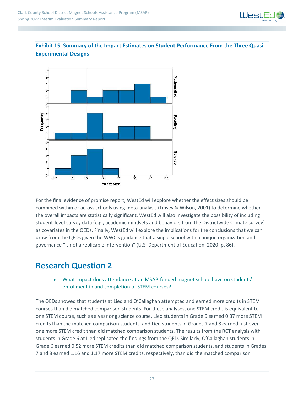

#### **Exhibit 15. Summary of the Impact Estimates on Student Performance From the Three Quasi-Experimental Designs**



For the final evidence of promise report, WestEd will explore whether the effect sizes should be combined within or across schools using meta-analysis (Lipsey & Wilson, 2001) to determine whether the overall impacts are statistically significant. WestEd will also investigate the possibility of including student-level survey data (e.g., academic mindsets and behaviors from the Districtwide Climate survey) as covariates in the QEDs. Finally, WestEd will explore the implications for the conclusions that we can draw from the QEDs given the WWC's guidance that a single school with a unique organization and governance "is not a replicable intervention" (U.S. Department of Education, 2020, p. 86).

### **Research Question 2**

• What impact does attendance at an MSAP-funded magnet school have on students' enrollment in and completion of STEM courses?

The QEDs showed that students at Lied and O'Callaghan attempted and earned more credits in STEM courses than did matched comparison students. For these analyses, one STEM credit is equivalent to one STEM course, such as a yearlong science course. Lied students in Grade 6 earned 0.37 more STEM credits than the matched comparison students, and Lied students in Grades 7 and 8 earned just over one more STEM credit than did matched comparison students. The results from the RCT analysis with students in Grade 6 at Lied replicated the findings from the QED. Similarly, O'Callaghan students in Grade 6 earned 0.52 more STEM credits than did matched comparison students, and students in Grades 7 and 8 earned 1.16 and 1.17 more STEM credits, respectively, than did the matched comparison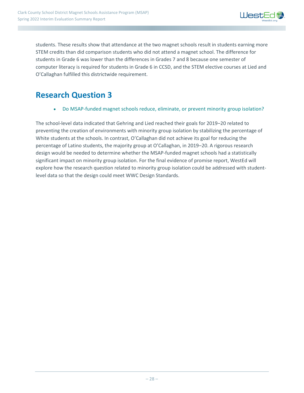

students. These results show that attendance at the two magnet schools result in students earning more STEM credits than did comparison students who did not attend a magnet school. The difference for students in Grade 6 was lower than the differences in Grades 7 and 8 because one semester of computer literacy is required for students in Grade 6 in CCSD, and the STEM elective courses at Lied and O'Callaghan fulfilled this districtwide requirement.

### **Research Question 3**

• Do MSAP-funded magnet schools reduce, eliminate, or prevent minority group isolation?

The school-level data indicated that Gehring and Lied reached their goals for 2019–20 related to preventing the creation of environments with minority group isolation by stabilizing the percentage of White students at the schools. In contrast, O'Callaghan did not achieve its goal for reducing the percentage of Latino students, the majority group at O'Callaghan, in 2019–20. A rigorous research design would be needed to determine whether the MSAP-funded magnet schools had a statistically significant impact on minority group isolation. For the final evidence of promise report, WestEd will explore how the research question related to minority group isolation could be addressed with studentlevel data so that the design could meet WWC Design Standards.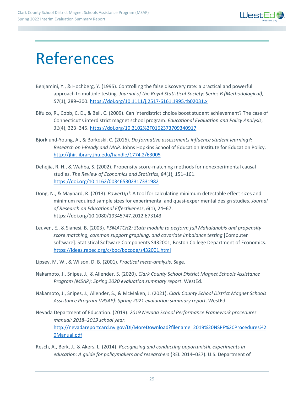

## References

- Benjamini, Y., & Hochberg, Y. (1995). Controlling the false discovery rate: a practical and powerful approach to multiple testing. *Journal of the Royal Statistical Society: Series B (Methodological)*, *57*(1), 289−300. <https://doi.org/10.1111/j.2517-6161.1995.tb02031.x>
- Bifulco, R., Cobb, C. D., & Bell, C. (2009). Can interdistrict choice boost student achievement? The case of Connecticut's interdistrict magnet school program. *Educational Evaluation and Policy Analysis*, *31*(4), 323−345. [https://doi.org/10.3102%2F0162373709340917](https://doi.org/10.3102/0162373709340917)
- Bjorklund-Young, A., & Borkoski, C. (2016). *Do formative assessments influence student learning?: Research on i-Ready and MAP*. Johns Hopkins School of Education Institute for Education Policy. <http://jhir.library.jhu.edu/handle/1774.2/63005>
- Dehejia, R. H., & Wahba, S. (2002). Propensity score-matching methods for nonexperimental causal studies. *The Review of Economics and Statistics*, *84*(1), 151−161. <https://doi.org/10.1162/003465302317331982>
- Dong, N., & Maynard, R. (2013). *PowerUp!*: A tool for calculating minimum detectable effect sizes and minimum required sample sizes for experimental and quasi-experimental design studies. *Journal of Research on Educational Effectiveness*, *6*(1), 24−67. https://doi.org/10.1080/19345747.2012.673143
- Leuven, E., & Sianesi, B. (2003). *PSMATCH2: Stata module to perform full Mahalanobis and propensity score matching, common support graphing, and covariate imbalance testing* [Computer software]. Statistical Software Components S432001, Boston College Department of Economics. <https://ideas.repec.org/c/boc/bocode/s432001.html>
- Lipsey, M. W., & Wilson, D. B. (2001). *Practical meta-analysis*. Sage.
- Nakamoto, J., Snipes, J., & Allender, S. (2020). *Clark County School District Magnet Schools Assistance Program (MSAP): Spring 2020 evaluation summary report*. WestEd.
- Nakamoto, J., Snipes, J., Allender, S., & McMaken, J. (2021). *Clark County School District Magnet Schools Assistance Program (MSAP): Spring 2021 evaluation summary report*. WestEd.
- Nevada Department of Education. (2019). *2019 Nevada School Performance Framework procedures manual: 2018–2019 school year*. [http://nevadareportcard.nv.gov/DI/MoreDownload?filename=2019%20NSPF%20Procedures%2](http://nevadareportcard.nv.gov/DI/MoreDownload?filename=2019%20NSPF%20Procedures%20Manual.pdf) [0Manual.pdf](http://nevadareportcard.nv.gov/DI/MoreDownload?filename=2019%20NSPF%20Procedures%20Manual.pdf)
- Resch, A., Berk, J., & Akers, L. (2014). *Recognizing and conducting opportunistic experiments in education: A guide for policymakers and researchers* (REL 2014–037). U.S. Department of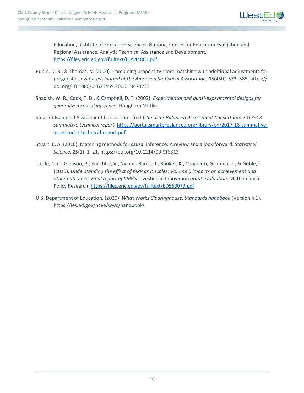

Education, Institute of Education Sciences, National Center for Education Evaluation and Regional Assistance, Analytic Technical Assistance and Development. <https://files.eric.ed.gov/fulltext/ED544801.pdf>

- Rubin, D. B., & Thomas, N. (2000). Combining propensity score matching with additional adjustments for prognostic covariates. *Journal of the American Statistical Association, 95*(450), 573−585. https:// doi.org/10.1080/01621459.2000.10474233
- Shadish, W. R., Cook, T. D., & Campbell, D. T. (2002). *Experimental and quasi-experimental designs for generalized causal inference*. Houghton Mifflin.
- Smarter Balanced Assessment Consortium. (n.d.). *Smarter Balanced Assessment Consortium: 2017–18 summative technical report*. [https://portal.smarterbalanced.org/library/en/2017-18-summative](https://portal.smarterbalanced.org/library/en/2017-18-summative-assessment-technical-report.pdf)[assessment-technical-report.pdf](https://portal.smarterbalanced.org/library/en/2017-18-summative-assessment-technical-report.pdf)
- Stuart, E. A. (2010). Matching methods for causal inference: A review and a look forward. *Statistical Science*, *25*(1), 1−21. https://doi.org/10.1214/09-STS313
- Tuttle, C. C., Gleason, P., Knechtel, V., Nichols-Barrer, I., Booker, K., Chojnacki, G., Coen, T., & Goble, L. (2015). *Understanding the effect of KIPP as it scales: Volume I, impacts on achievement and other outcomes: Final report of KIPP's* Investing in Innovation *grant evaluation*. Mathematica Policy Research. <https://files.eric.ed.gov/fulltext/ED560079.pdf>
- U.S. Department of Education. (2020). *What Works Clearinghouse: Standards handbook* (Version 4.1). https://ies.ed.gov/ncee/wwc/handbooks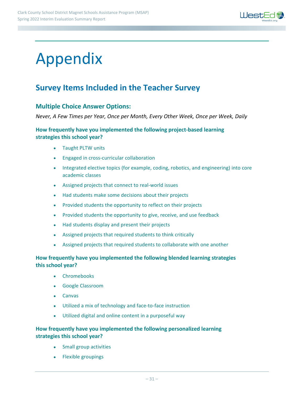

## Appendix

## **Survey Items Included in the Teacher Survey**

#### **Multiple Choice Answer Options:**

*Never, A Few Times per Year, Once per Month, Every Other Week, Once per Week, Daily*

#### **How frequently have you implemented the following project-based learning strategies this school year?**

- Taught PLTW units
- Engaged in cross-curricular collaboration
- Integrated elective topics (for example, coding, robotics, and engineering) into core academic classes
- Assigned projects that connect to real-world issues
- Had students make some decisions about their projects
- Provided students the opportunity to reflect on their projects
- Provided students the opportunity to give, receive, and use feedback
- Had students display and present their projects
- Assigned projects that required students to think critically
- Assigned projects that required students to collaborate with one another

#### **How frequently have you implemented the following blended learning strategies this school year?**

- Chromebooks
- Google Classroom
- Canvas
- Utilized a mix of technology and face-to-face instruction
- Utilized digital and online content in a purposeful way

#### **How frequently have you implemented the following personalized learning strategies this school year?**

- Small group activities
- Flexible groupings